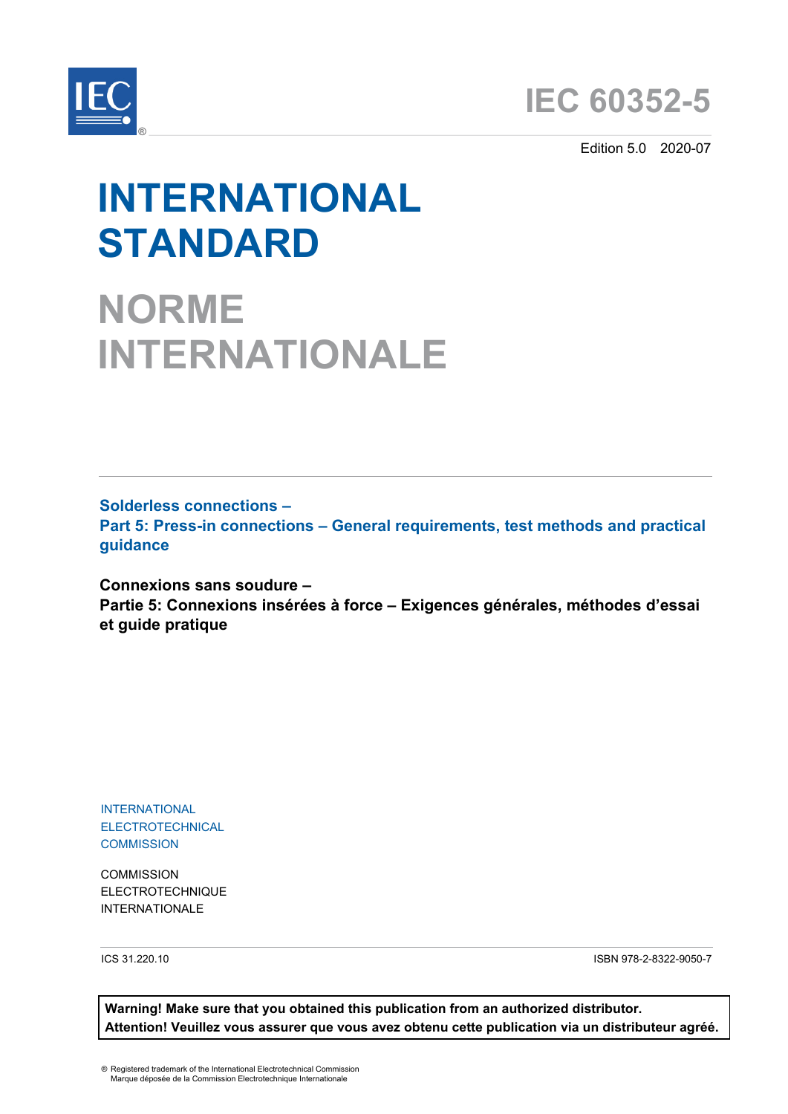



Edition 5.0 2020-07

# **INTERNATIONAL STANDARD**

**NORME INTERNATIONALE**

**Solderless connections – Part 5: Press-in connections – General requirements, test methods and practical guidance**

**Connexions sans soudure –** 

**Partie 5: Connexions insérées à force – Exigences générales, méthodes d'essai et guide pratique** 

INTERNATIONAL ELECTROTECHNICAL **COMMISSION** 

**COMMISSION** ELECTROTECHNIQUE INTERNATIONALE

ICS 31.220.10

ISBN 978-2-8322-9050-7

**Warning! Make sure that you obtained this publication from an authorized distributor. Attention! Veuillez vous assurer que vous avez obtenu cette publication via un distributeur agréé.**

® Registered trademark of the International Electrotechnical Commission Marque déposée de la Commission Electrotechnique Internationale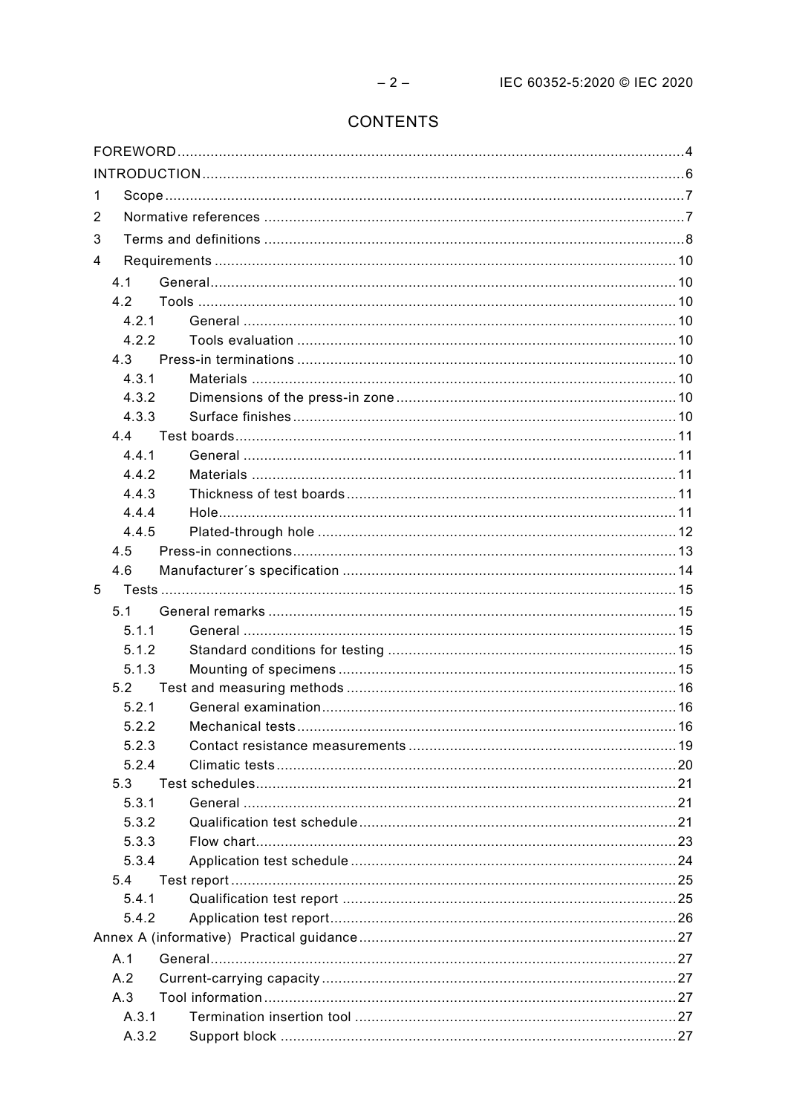# CONTENTS

| 1 |       |  |
|---|-------|--|
| 2 |       |  |
| 3 |       |  |
| 4 |       |  |
|   | 4.1   |  |
|   | 4.2   |  |
|   | 4 2 1 |  |
|   | 4.2.2 |  |
|   | 4.3   |  |
|   | 4.3.1 |  |
|   | 4.3.2 |  |
|   | 4.3.3 |  |
|   | 4.4   |  |
|   | 4.4.1 |  |
|   |       |  |
|   | 4.4.2 |  |
|   | 4.4.3 |  |
|   | 4.4.4 |  |
|   | 4.4.5 |  |
|   | 4.5   |  |
|   | 4.6   |  |
| 5 |       |  |
|   | 5.1   |  |
|   | 5.1.1 |  |
|   | 5.1.2 |  |
|   | 5.1.3 |  |
|   | 5.2   |  |
|   | 5.2.1 |  |
|   | 5.2.2 |  |
|   | 5.2.3 |  |
|   | 5.2.4 |  |
|   |       |  |
|   | 5.3   |  |
|   | 5.3.1 |  |
|   | 5.3.2 |  |
|   | 5.3.3 |  |
|   | 5.3.4 |  |
|   | 5.4   |  |
|   | 5.4.1 |  |
|   | 5.4.2 |  |
|   |       |  |
|   | A.1   |  |
|   | A.2   |  |
|   | A.3   |  |
|   | A.3.1 |  |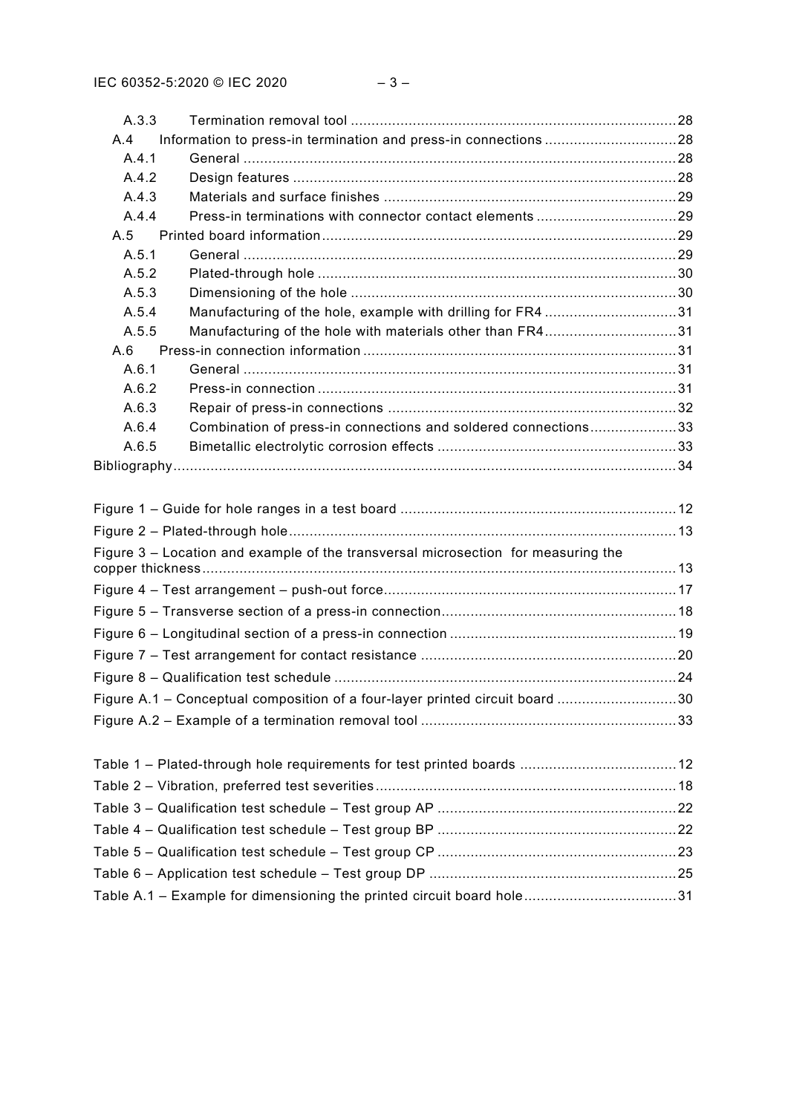| A.3.3 |                                                                                   |  |
|-------|-----------------------------------------------------------------------------------|--|
| A.4   |                                                                                   |  |
| A.4.1 |                                                                                   |  |
| A.4.2 |                                                                                   |  |
| A.4.3 |                                                                                   |  |
| A.4.4 | Press-in terminations with connector contact elements 29                          |  |
| A.5   |                                                                                   |  |
| A.5.1 |                                                                                   |  |
| A.5.2 |                                                                                   |  |
| A.5.3 |                                                                                   |  |
| A.5.4 | Manufacturing of the hole, example with drilling for FR4 31                       |  |
| A.5.5 | Manufacturing of the hole with materials other than FR431                         |  |
| A.6   |                                                                                   |  |
| A.6.1 |                                                                                   |  |
| A.6.2 |                                                                                   |  |
| A.6.3 |                                                                                   |  |
| A.6.4 | Combination of press-in connections and soldered connections33                    |  |
| A.6.5 |                                                                                   |  |
|       |                                                                                   |  |
|       |                                                                                   |  |
|       |                                                                                   |  |
|       |                                                                                   |  |
|       | Figure 3 - Location and example of the transversal microsection for measuring the |  |
|       |                                                                                   |  |
|       |                                                                                   |  |
|       |                                                                                   |  |
|       |                                                                                   |  |
|       |                                                                                   |  |
|       |                                                                                   |  |
|       | Figure A.1 - Conceptual composition of a four-layer printed circuit board 30      |  |
|       |                                                                                   |  |
|       |                                                                                   |  |
|       |                                                                                   |  |
|       |                                                                                   |  |
|       |                                                                                   |  |
|       |                                                                                   |  |
|       |                                                                                   |  |
|       |                                                                                   |  |
|       |                                                                                   |  |
|       |                                                                                   |  |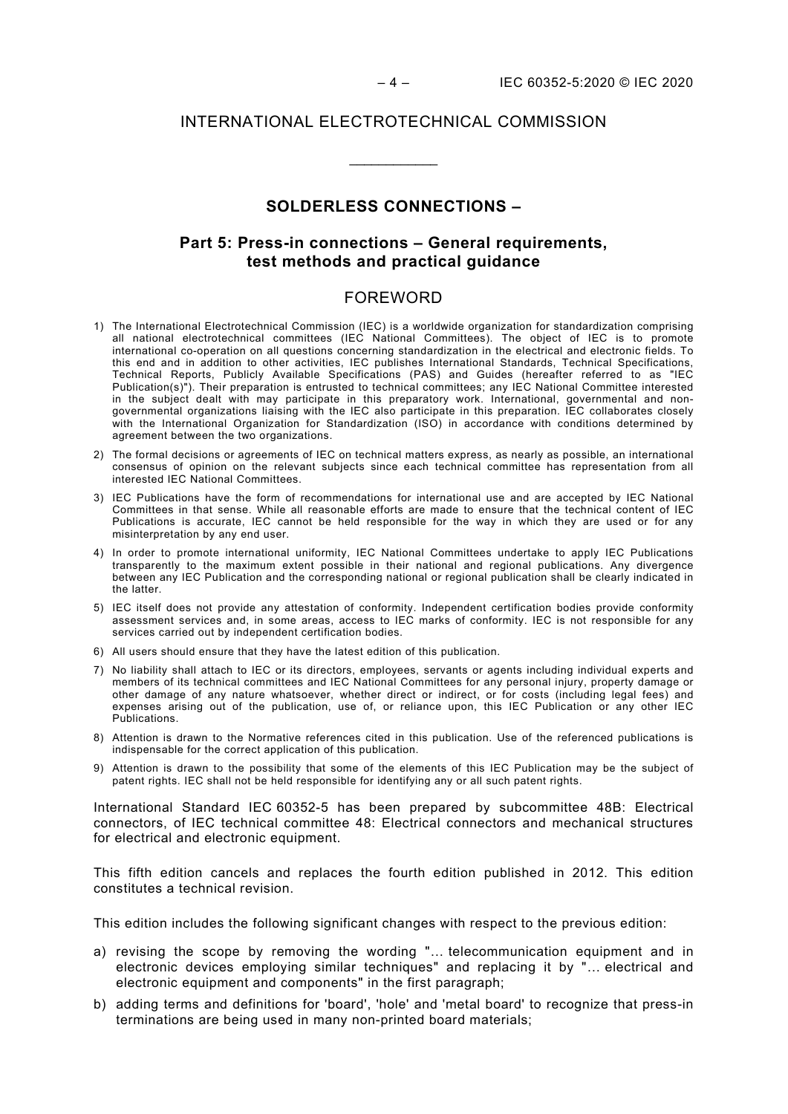## INTERNATIONAL ELECTROTECHNICAL COMMISSION

\_\_\_\_\_\_\_\_\_\_\_\_

## **SOLDERLESS CONNECTIONS –**

## **Part 5: Press-in connections – General requirements, test methods and practical guidance**

## FOREWORD

- <span id="page-3-0"></span>1) The International Electrotechnical Commission (IEC) is a worldwide organization for standardization comprising all national electrotechnical committees (IEC National Committees). The object of IEC is to promote international co-operation on all questions concerning standardization in the electrical and electronic fields. To this end and in addition to other activities, IEC publishes International Standards, Technical Specifications, Technical Reports, Publicly Available Specifications (PAS) and Guides (hereafter referred to as "IEC Publication(s)"). Their preparation is entrusted to technical committees; any IEC National Committee interested in the subject dealt with may participate in this preparatory work. International, governmental and nongovernmental organizations liaising with the IEC also participate in this preparation. IEC collaborates closely with the International Organization for Standardization (ISO) in accordance with conditions determined by agreement between the two organizations.
- 2) The formal decisions or agreements of IEC on technical matters express, as nearly as possible, an international consensus of opinion on the relevant subjects since each technical committee has representation from all interested IEC National Committees.
- 3) IEC Publications have the form of recommendations for international use and are accepted by IEC National Committees in that sense. While all reasonable efforts are made to ensure that the technical content of IEC Publications is accurate, IEC cannot be held responsible for the way in which they are used or for any misinterpretation by any end user.
- 4) In order to promote international uniformity, IEC National Committees undertake to apply IEC Publications transparently to the maximum extent possible in their national and regional publications. Any divergence between any IEC Publication and the corresponding national or regional publication shall be clearly indicated in the latter.
- 5) IEC itself does not provide any attestation of conformity. Independent certification bodies provide conformity assessment services and, in some areas, access to IEC marks of conformity. IEC is not responsible for any services carried out by independent certification bodies.
- 6) All users should ensure that they have the latest edition of this publication.
- 7) No liability shall attach to IEC or its directors, employees, servants or agents including individual experts and members of its technical committees and IEC National Committees for any personal injury, property damage or other damage of any nature whatsoever, whether direct or indirect, or for costs (including legal fees) and expenses arising out of the publication, use of, or reliance upon, this IEC Publication or any other IEC Publications.
- 8) Attention is drawn to the Normative references cited in this publication. Use of the referenced publications is indispensable for the correct application of this publication.
- 9) Attention is drawn to the possibility that some of the elements of this IEC Publication may be the subject of patent rights. IEC shall not be held responsible for identifying any or all such patent rights.

International Standard IEC 60352-5 has been prepared by subcommittee 48B: Electrical connectors, of IEC technical committee 48: Electrical connectors and mechanical structures for electrical and electronic equipment.

This fifth edition cancels and replaces the fourth edition published in 2012. This edition constitutes a technical revision.

This edition includes the following significant changes with respect to the previous edition:

- a) revising the scope by removing the wording "… telecommunication equipment and in electronic devices employing similar techniques" and replacing it by "… electrical and electronic equipment and components" in the first paragraph;
- b) adding terms and definitions for 'board', 'hole' and 'metal board' to recognize that press-in terminations are being used in many non-printed board materials;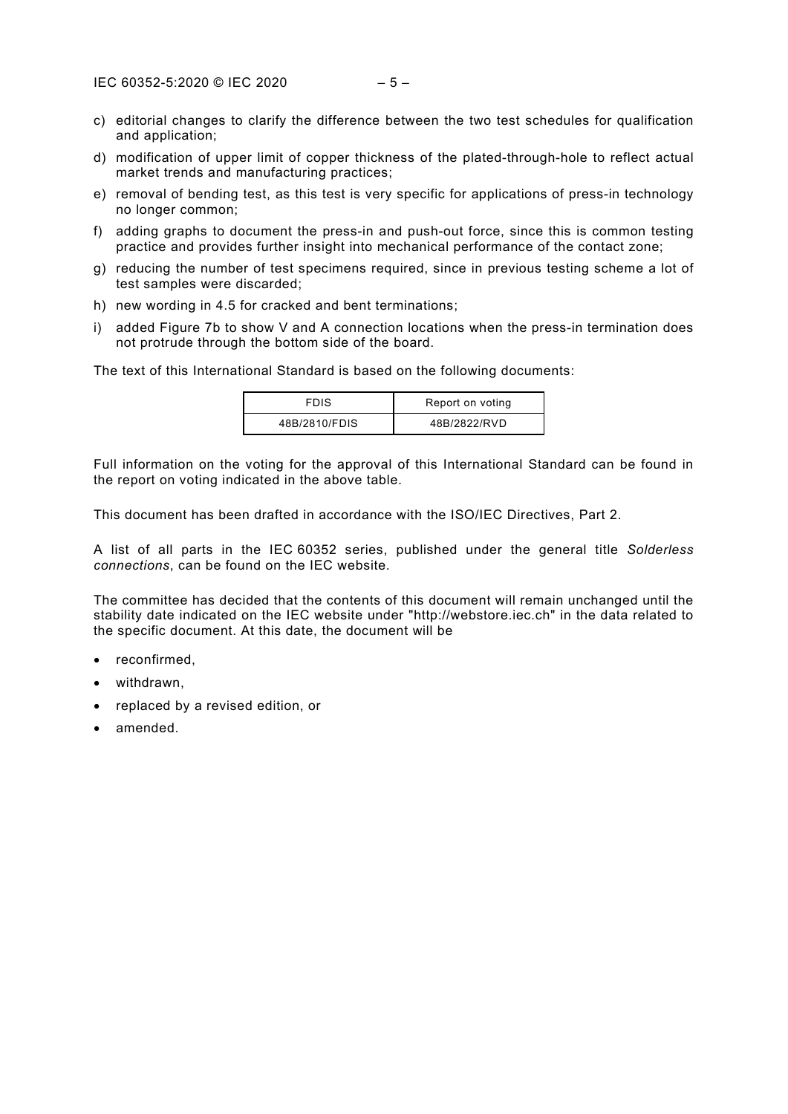- c) editorial changes to clarify the difference between the two test schedules for qualification and application;
- d) modification of upper limit of copper thickness of the plated-through-hole to reflect actual market trends and manufacturing practices;
- e) removal of bending test, as this test is very specific for applications of press-in technology no longer common;
- f) adding graphs to document the press-in and push-out force, since this is common testing practice and provides further insight into mechanical performance of the contact zone;
- g) reducing the number of test specimens required, since in previous testing scheme a lot of test samples were discarded;
- h) new wording in 4.5 for cracked and bent terminations;
- i) added Figure 7b to show V and A connection locations when the press-in termination does not protrude through the bottom side of the board.

The text of this International Standard is based on the following documents:

| FDIS          | Report on voting |
|---------------|------------------|
| 48B/2810/FDIS | 48B/2822/RVD     |

Full information on the voting for the approval of this International Standard can be found in the report on voting indicated in the above table.

This document has been drafted in accordance with the ISO/IEC Directives, Part 2.

A list of all parts in the IEC 60352 series, published under the general title *Solderless connections*, can be found on the IEC website.

The committee has decided that the contents of this document will remain unchanged until the stability date indicated on the IEC website under "http://webstore.iec.ch" in the data related to the specific document. At this date, the document will be

- reconfirmed,
- withdrawn,
- replaced by a revised edition, or
- <span id="page-4-0"></span>amended.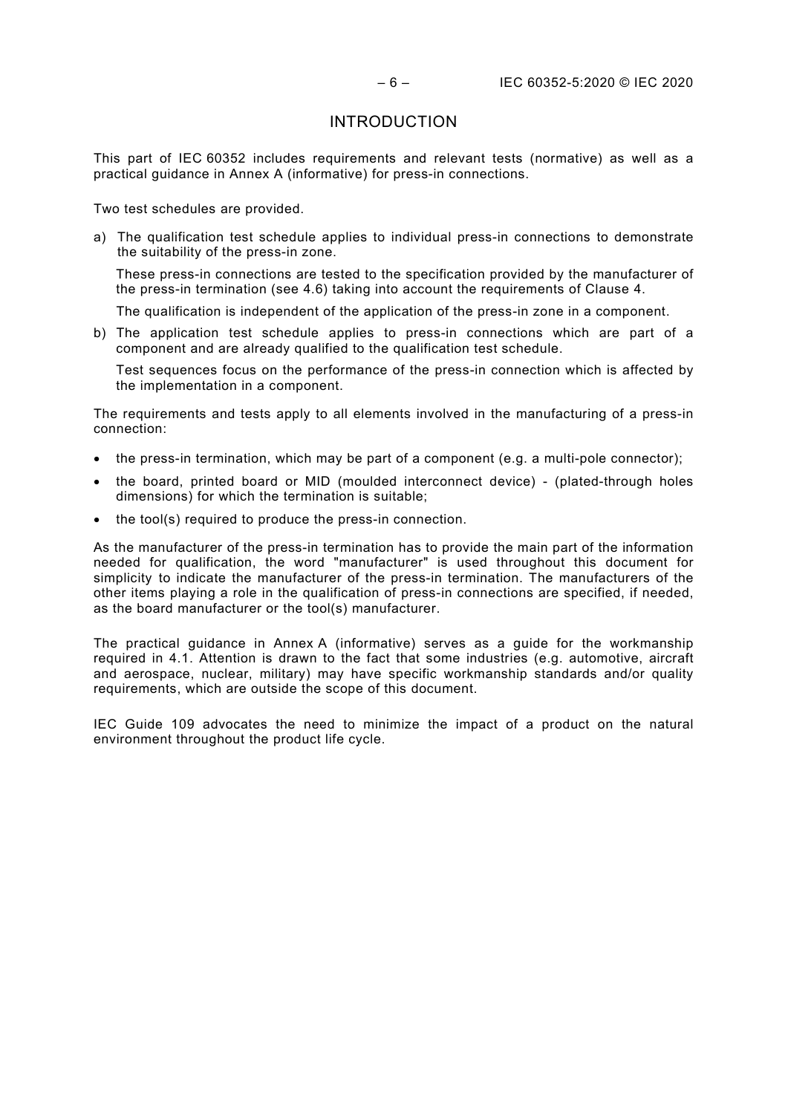## INTRODUCTION

This part of IEC 60352 includes requirements and relevant tests (normative) as well as a practical guidance in Annex A (informative) for press-in connections.

Two test schedules are provided.

a) The qualification test schedule applies to individual press-in connections to demonstrate the suitability of the press-in zone.

These press-in connections are tested to the specification provided by the manufacturer of the press-in termination (see 4.6) taking into account the requirements of Clause 4.

The qualification is independent of the application of the press-in zone in a component.

b) The application test schedule applies to press-in connections which are part of a component and are already qualified to the qualification test schedule.

Test sequences focus on the performance of the press-in connection which is affected by the implementation in a component.

The requirements and tests apply to all elements involved in the manufacturing of a press-in connection:

- the press-in termination, which may be part of a component (e.g. a multi-pole connector);
- the board, printed board or MID (moulded interconnect device) (plated-through holes dimensions) for which the termination is suitable;
- the tool(s) required to produce the press-in connection.

As the manufacturer of the press-in termination has to provide the main part of the information needed for qualification, the word "manufacturer" is used throughout this document for simplicity to indicate the manufacturer of the press-in termination. The manufacturers of the other items playing a role in the qualification of press-in connections are specified, if needed, as the board manufacturer or the tool(s) manufacturer.

The practical guidance in Annex A (informative) serves as a guide for the workmanship required in 4.1. Attention is drawn to the fact that some industries (e.g. automotive, aircraft and aerospace, nuclear, military) may have specific workmanship standards and/or quality requirements, which are outside the scope of this document.

IEC Guide 109 advocates the need to minimize the impact of a product on the natural environment throughout the product life cycle.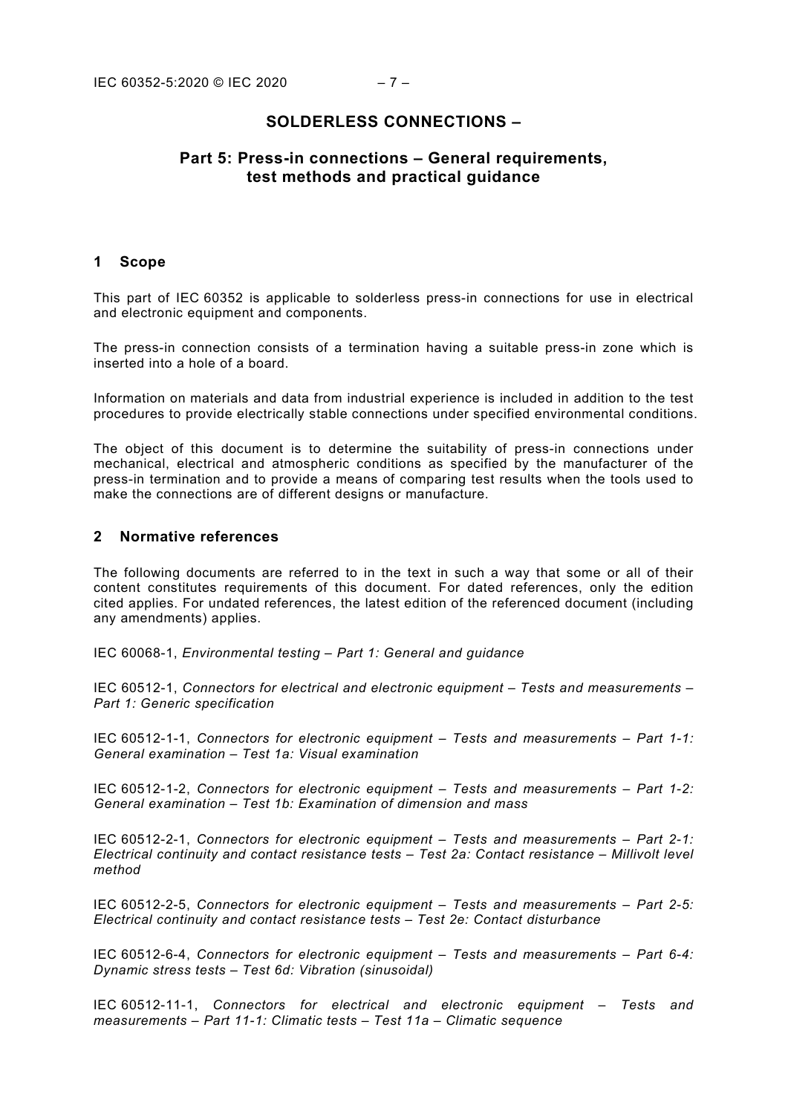## **SOLDERLESS CONNECTIONS –**

# **Part 5: Press-in connections – General requirements, test methods and practical guidance**

#### <span id="page-6-0"></span>**1 Scope**

This part of IEC 60352 is applicable to solderless press-in connections for use in electrical and electronic equipment and components.

The press-in connection consists of a termination having a suitable press-in zone which is inserted into a hole of a board.

Information on materials and data from industrial experience is included in addition to the test procedures to provide electrically stable connections under specified environmental conditions.

The object of this document is to determine the suitability of press-in connections under mechanical, electrical and atmospheric conditions as specified by the manufacturer of the press-in termination and to provide a means of comparing test results when the tools used to make the connections are of different designs or manufacture.

#### <span id="page-6-1"></span>**2 Normative references**

The following documents are referred to in the text in such a way that some or all of their content constitutes requirements of this document. For dated references, only the edition cited applies. For undated references, the latest edition of the referenced document (including any amendments) applies.

IEC 60068-1, *Environmental testing – Part 1: General and guidance*

IEC 60512-1, *Connectors for electrical and electronic equipment – Tests and measurements – Part 1: Generic specification*

[IEC 60512-1-1,](https://webstore.iec.ch/publication/2297) *Connectors for electronic equipment – Tests and measurements – Part 1-1: General examination – Test 1a: Visual examination*

[IEC 60512-1-2,](https://webstore.iec.ch/publication/2299) *Connectors for electronic equipment – Tests and measurements – Part 1-2: General examination – Test 1b: Examination of dimension and mass*

[IEC 60512-2-1,](https://webstore.iec.ch/publication/2365) *Connectors for electronic equipment – Tests and measurements – Part 2-1: Electrical continuity and contact resistance tests – Test 2a: Contact resistance – Millivolt level method*

[IEC 60512-2-5,](https://webstore.iec.ch/publication/2368) *Connectors for electronic equipment – Tests and measurements – Part 2-5: Electrical continuity and contact resistance tests – Test 2e: Contact disturbance*

[IEC 60512-6-4,](https://webstore.iec.ch/publication/2403) *Connectors for electronic equipment – Tests and measurements – Part 6-4: Dynamic stress tests – Test 6d: Vibration (sinusoidal)*

IEC 60512-11-1, *Connectors for electrical and electronic equipment – Tests and measurements – Part 11-1: Climatic tests – Test 11a – Climatic sequence*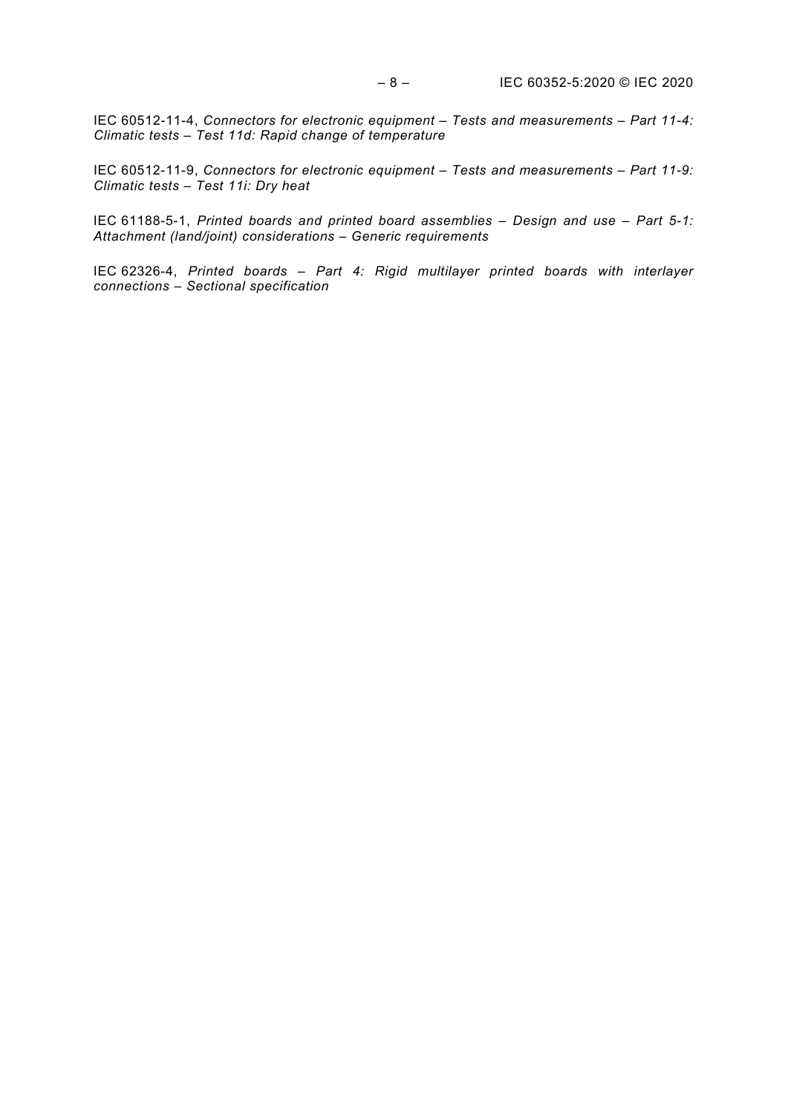[IEC 60512-11-4,](https://webstore.iec.ch/publication/2313) *Connectors for electronic equipment – Tests and measurements – Part 11-4: Climatic tests – Test 11d: Rapid change of temperature*

[IEC 60512-11-9,](https://webstore.iec.ch/publication/2318) *Connectors for electronic equipment – Tests and measurements – Part 11-9: Climatic tests – Test 11i: Dry heat*

IEC 61188-5-1, *Printed boards and printed board assemblies – Design and use – Part 5-1: Attachment (land/joint) considerations – Generic requirements*

<span id="page-7-0"></span>IEC 62326-4, *Printed boards – Part 4: Rigid multilayer printed boards with interlayer connections – Sectional specification*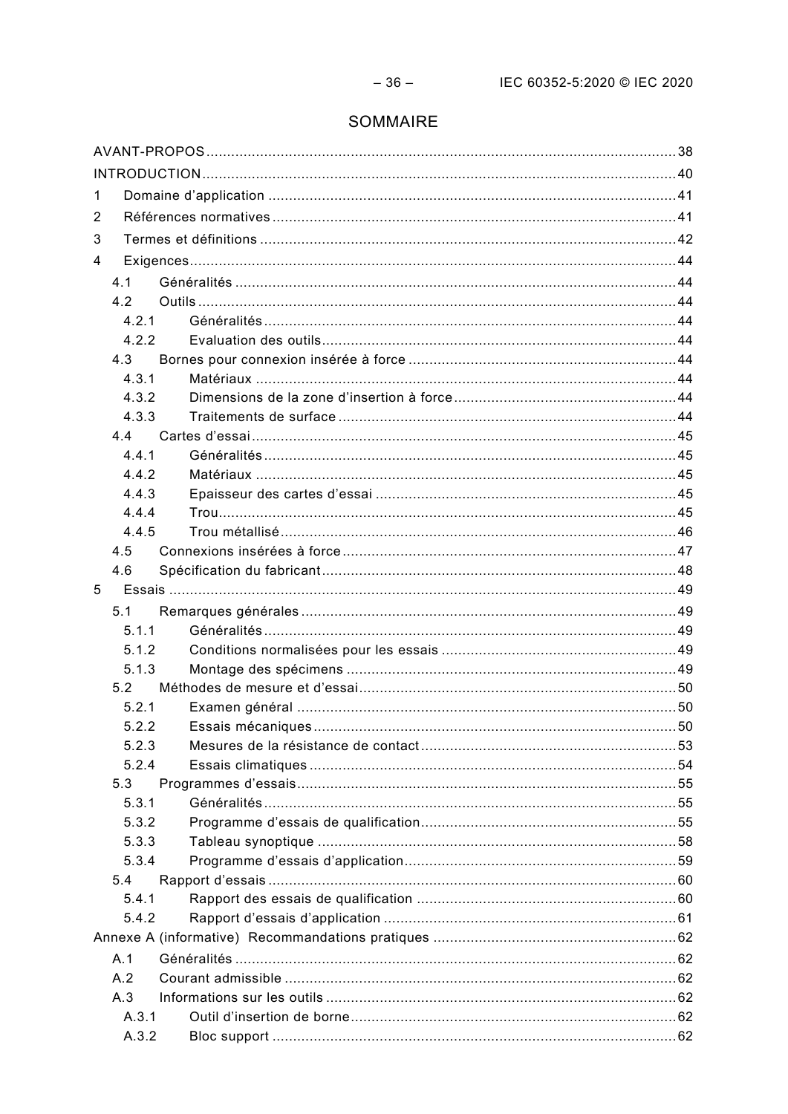# SOMMAIRE

| 1. |                |  |
|----|----------------|--|
| 2  |                |  |
| 3  |                |  |
| 4  |                |  |
|    | 4.1            |  |
|    | 4.2            |  |
|    | 4.2.1          |  |
|    | 4.2.2          |  |
|    | 4.3            |  |
|    | 4.3.1          |  |
|    | 4.3.2          |  |
|    | 4.3.3          |  |
|    | 4.4            |  |
|    | 4.4.1          |  |
|    | 4.4.2          |  |
|    | 4.4.3          |  |
|    | 4.4.4          |  |
|    | 4.4.5          |  |
|    | 4.5            |  |
|    | 4.6            |  |
| 5  |                |  |
|    |                |  |
|    | 5.1            |  |
|    | 5.1.1          |  |
|    | 5.1.2          |  |
|    | 5.1.3          |  |
|    | 5.2            |  |
|    | 5.2.1          |  |
|    | 5.2.2          |  |
|    | 5.2.3          |  |
|    | 5.2.4          |  |
|    | 5.3            |  |
|    | 5.3.1          |  |
|    | 5.3.2          |  |
|    | 5.3.3          |  |
|    | 5.3.4          |  |
|    | 5.4            |  |
|    | 5.4.1          |  |
|    | 5.4.2          |  |
|    |                |  |
|    | A.1            |  |
|    | A.2            |  |
|    | A.3            |  |
|    | A.3.1<br>A.3.2 |  |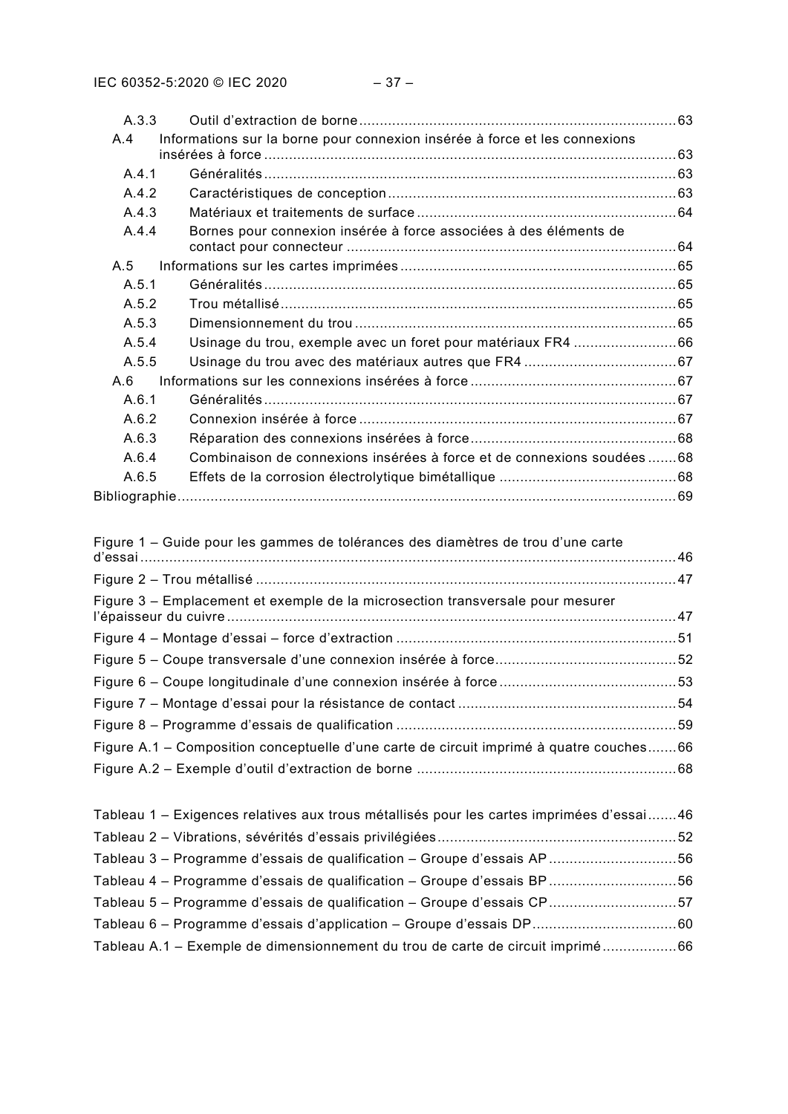| A.3.3 |                                                                            |  |
|-------|----------------------------------------------------------------------------|--|
| A.4   | Informations sur la borne pour connexion insérée à force et les connexions |  |
| A.4.1 |                                                                            |  |
| A.4.2 |                                                                            |  |
| A.4.3 |                                                                            |  |
| A.4.4 | Bornes pour connexion insérée à force associées à des éléments de          |  |
| A.5   |                                                                            |  |
| A.5.1 |                                                                            |  |
| A.5.2 |                                                                            |  |
| A.5.3 |                                                                            |  |
| A.5.4 | Usinage du trou, exemple avec un foret pour matériaux FR4 66               |  |
| A.5.5 |                                                                            |  |
| A.6   |                                                                            |  |
| A.6.1 |                                                                            |  |
| A.6.2 |                                                                            |  |
| A.6.3 |                                                                            |  |
| A.6.4 | Combinaison de connexions insérées à force et de connexions soudées68      |  |
| A.6.5 |                                                                            |  |
|       |                                                                            |  |

| Figure 1 – Guide pour les gammes de tolérances des diamètres de trou d'une carte         |  |
|------------------------------------------------------------------------------------------|--|
|                                                                                          |  |
| Figure 3 - Emplacement et exemple de la microsection transversale pour mesurer           |  |
|                                                                                          |  |
|                                                                                          |  |
|                                                                                          |  |
|                                                                                          |  |
|                                                                                          |  |
| Figure A.1 – Composition conceptuelle d'une carte de circuit imprimé à quatre couches66  |  |
|                                                                                          |  |
| Tableau 1 – Exigences relatives aux trous métallisés pour les cartes imprimées d'essai46 |  |
|                                                                                          |  |
| Tableau 3 – Programme d'essais de qualification – Groupe d'essais AP 56                  |  |
| Tableau 4 - Programme d'essais de qualification - Groupe d'essais BP56                   |  |

| Tableau A.1 – Exemple de dimensionnement du trou de carte de circuit imprimé66 |  |
|--------------------------------------------------------------------------------|--|

Tableau 5 – Programme d'essais de qualification – Groupe d'essais CP...............................57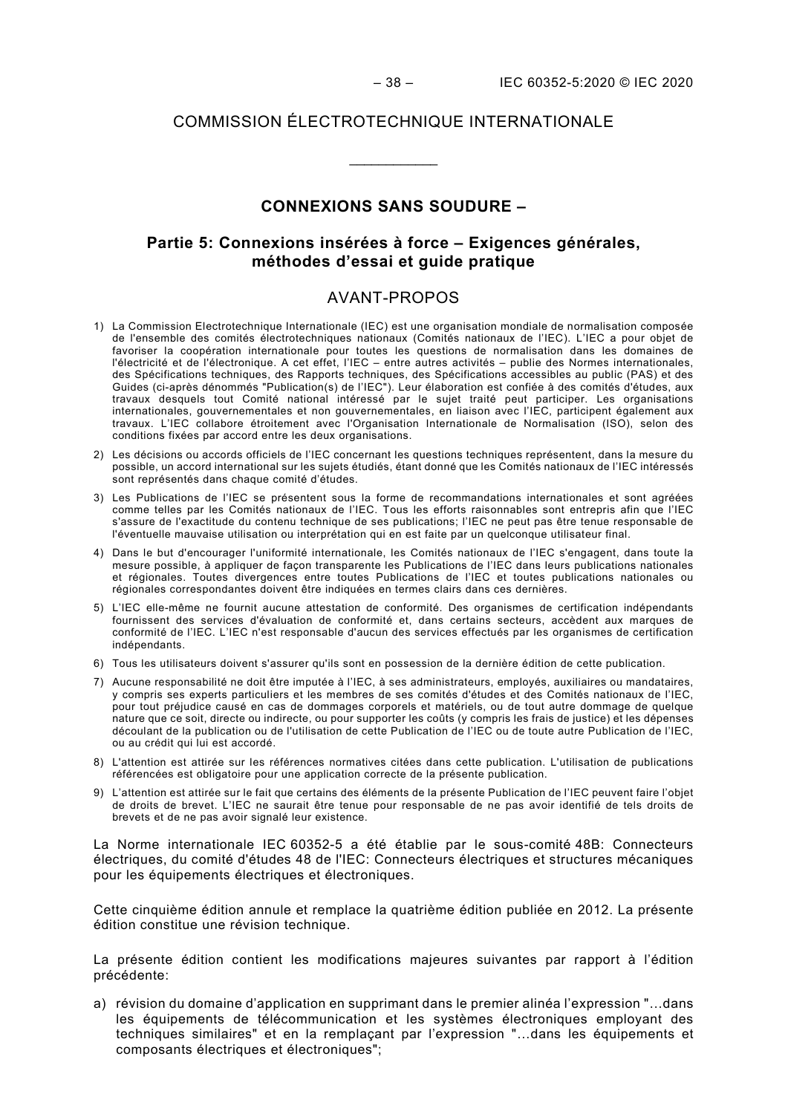# COMMISSION ÉLECTROTECHNIQUE INTERNATIONALE

\_\_\_\_\_\_\_\_\_\_\_\_

## **CONNEXIONS SANS SOUDURE –**

## **Partie 5: Connexions insérées à force – Exigences générales, méthodes d'essai et guide pratique**

## AVANT-PROPOS

- <span id="page-10-0"></span>1) La Commission Electrotechnique Internationale (IEC) est une organisation mondiale de normalisation composée de l'ensemble des comités électrotechniques nationaux (Comités nationaux de l'IEC). L'IEC a pour objet de favoriser la coopération internationale pour toutes les questions de normalisation dans les domaines de l'électricité et de l'électronique. A cet effet, l'IEC – entre autres activités – publie des Normes internationales, des Spécifications techniques, des Rapports techniques, des Spécifications accessibles au public (PAS) et des Guides (ci-après dénommés "Publication(s) de l'IEC"). Leur élaboration est confiée à des comités d'études, aux travaux desquels tout Comité national intéressé par le sujet traité peut participer. Les organisations internationales, gouvernementales et non gouvernementales, en liaison avec l'IEC, participent également aux travaux. L'IEC collabore étroitement avec l'Organisation Internationale de Normalisation (ISO), selon des conditions fixées par accord entre les deux organisations.
- 2) Les décisions ou accords officiels de l'IEC concernant les questions techniques représentent, dans la mesure du possible, un accord international sur les sujets étudiés, étant donné que les Comités nationaux de l'IEC intéressés sont représentés dans chaque comité d'études.
- 3) Les Publications de l'IEC se présentent sous la forme de recommandations internationales et sont agréées comme telles par les Comités nationaux de l'IEC. Tous les efforts raisonnables sont entrepris afin que l'IEC s'assure de l'exactitude du contenu technique de ses publications; l'IEC ne peut pas être tenue responsable de l'éventuelle mauvaise utilisation ou interprétation qui en est faite par un quelconque utilisateur final.
- 4) Dans le but d'encourager l'uniformité internationale, les Comités nationaux de l'IEC s'engagent, dans toute la mesure possible, à appliquer de façon transparente les Publications de l'IEC dans leurs publications nationales et régionales. Toutes divergences entre toutes Publications de l'IEC et toutes publications nationales ou régionales correspondantes doivent être indiquées en termes clairs dans ces dernières.
- 5) L'IEC elle-même ne fournit aucune attestation de conformité. Des organismes de certification indépendants fournissent des services d'évaluation de conformité et, dans certains secteurs, accèdent aux marques de conformité de l'IEC. L'IEC n'est responsable d'aucun des services effectués par les organismes de certification indépendants.
- 6) Tous les utilisateurs doivent s'assurer qu'ils sont en possession de la dernière édition de cette publication.
- 7) Aucune responsabilité ne doit être imputée à l'IEC, à ses administrateurs, employés, auxiliaires ou mandataires, y compris ses experts particuliers et les membres de ses comités d'études et des Comités nationaux de l'IEC, pour tout préjudice causé en cas de dommages corporels et matériels, ou de tout autre dommage de quelque nature que ce soit, directe ou indirecte, ou pour supporter les coûts (y compris les frais de justice) et les dépenses découlant de la publication ou de l'utilisation de cette Publication de l'IEC ou de toute autre Publication de l'IEC, ou au crédit qui lui est accordé.
- 8) L'attention est attirée sur les références normatives citées dans cette publication. L'utilisation de publications référencées est obligatoire pour une application correcte de la présente publication.
- 9) L'attention est attirée sur le fait que certains des éléments de la présente Publication de l'IEC peuvent faire l'objet de droits de brevet. L'IEC ne saurait être tenue pour responsable de ne pas avoir identifié de tels droits de brevets et de ne pas avoir signalé leur existence.

La Norme internationale IEC 60352-5 a été établie par le sous-comité 48B: Connecteurs électriques, du comité d'études 48 de l'IEC: Connecteurs électriques et structures mécaniques pour les équipements électriques et électroniques.

Cette cinquième édition annule et remplace la quatrième édition publiée en 2012. La présente édition constitue une révision technique.

La présente édition contient les modifications majeures suivantes par rapport à l'édition précédente:

a) révision du domaine d'application en supprimant dans le premier alinéa l'expression "…dans les équipements de télécommunication et les systèmes électroniques employant des techniques similaires" et en la remplaçant par l'expression "…dans les équipements et composants électriques et électroniques";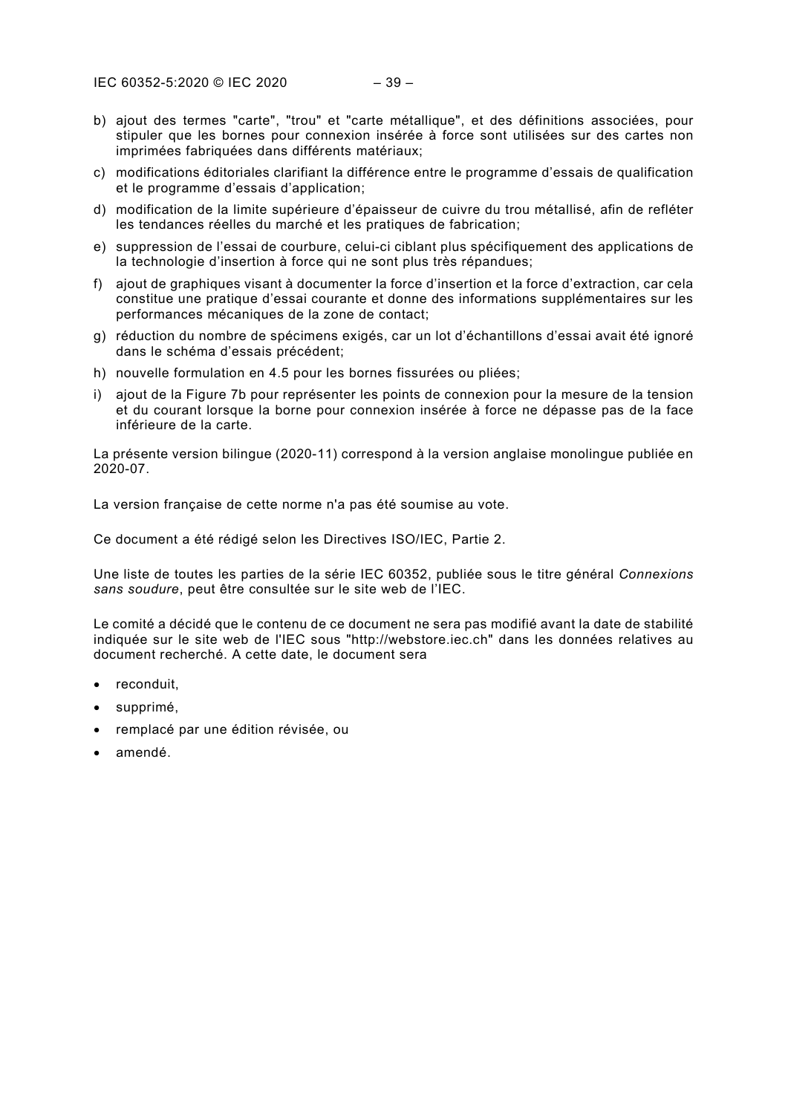- b) ajout des termes "carte", "trou" et "carte métallique", et des définitions associées, pour stipuler que les bornes pour connexion insérée à force sont utilisées sur des cartes non imprimées fabriquées dans différents matériaux;
- c) modifications éditoriales clarifiant la différence entre le programme d'essais de qualification et le programme d'essais d'application;
- d) modification de la limite supérieure d'épaisseur de cuivre du trou métallisé, afin de refléter les tendances réelles du marché et les pratiques de fabrication;
- e) suppression de l'essai de courbure, celui-ci ciblant plus spécifiquement des applications de la technologie d'insertion à force qui ne sont plus très répandues;
- f) ajout de graphiques visant à documenter la force d'insertion et la force d'extraction, car cela constitue une pratique d'essai courante et donne des informations supplémentaires sur les performances mécaniques de la zone de contact;
- g) réduction du nombre de spécimens exigés, car un lot d'échantillons d'essai avait été ignoré dans le schéma d'essais précédent;
- h) nouvelle formulation en 4.5 pour les bornes fissurées ou pliées;
- i) ajout de la Figure 7b pour représenter les points de connexion pour la mesure de la tension et du courant lorsque la borne pour connexion insérée à force ne dépasse pas de la face inférieure de la carte.

La présente version bilingue (2020-11) correspond à la version anglaise monolingue publiée en 2020-07.

La version française de cette norme n'a pas été soumise au vote.

Ce document a été rédigé selon les Directives ISO/IEC, Partie 2.

Une liste de toutes les parties de la série IEC 60352, publiée sous le titre général *Connexions sans soudure*, peut être consultée sur le site web de l'IEC.

Le comité a décidé que le contenu de ce document ne sera pas modifié avant la date de stabilité indiquée sur le site web de l'IEC sous "http://webstore.iec.ch" dans les données relatives au document recherché. A cette date, le document sera

- reconduit,
- supprimé,
- remplacé par une édition révisée, ou
- amendé.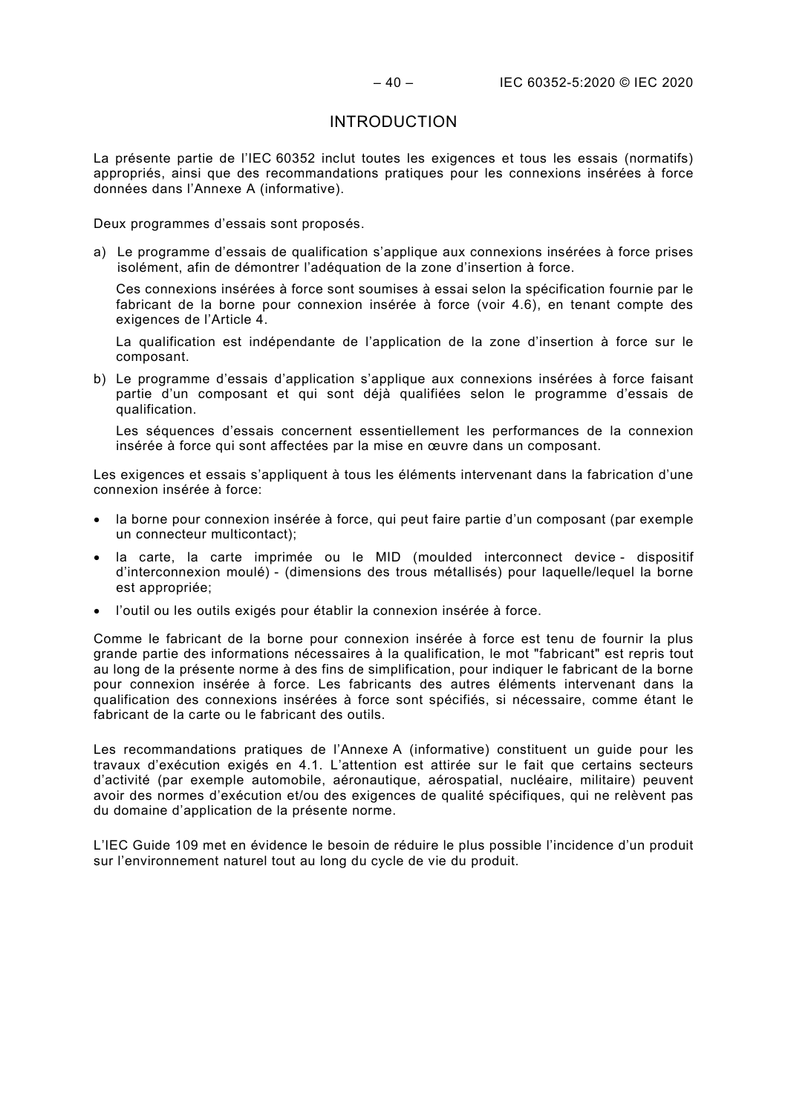## INTRODUCTION

<span id="page-12-0"></span>La présente partie de l'IEC 60352 inclut toutes les exigences et tous les essais (normatifs) appropriés, ainsi que des recommandations pratiques pour les connexions insérées à force données dans l'Annexe A (informative).

Deux programmes d'essais sont proposés.

a) Le programme d'essais de qualification s'applique aux connexions insérées à force prises isolément, afin de démontrer l'adéquation de la zone d'insertion à force.

Ces connexions insérées à force sont soumises à essai selon la spécification fournie par le fabricant de la borne pour connexion insérée à force (voir 4.6), en tenant compte des exigences de l'Article 4.

La qualification est indépendante de l'application de la zone d'insertion à force sur le composant.

b) Le programme d'essais d'application s'applique aux connexions insérées à force faisant partie d'un composant et qui sont déjà qualifiées selon le programme d'essais de qualification.

Les séquences d'essais concernent essentiellement les performances de la connexion insérée à force qui sont affectées par la mise en œuvre dans un composant.

Les exigences et essais s'appliquent à tous les éléments intervenant dans la fabrication d'une connexion insérée à force:

- la borne pour connexion insérée à force, qui peut faire partie d'un composant (par exemple un connecteur multicontact);
- la carte, la carte imprimée ou le MID (moulded interconnect device dispositif d'interconnexion moulé) - (dimensions des trous métallisés) pour laquelle/lequel la borne est appropriée;
- l'outil ou les outils exigés pour établir la connexion insérée à force.

Comme le fabricant de la borne pour connexion insérée à force est tenu de fournir la plus grande partie des informations nécessaires à la qualification, le mot "fabricant" est repris tout au long de la présente norme à des fins de simplification, pour indiquer le fabricant de la borne pour connexion insérée à force. Les fabricants des autres éléments intervenant dans la qualification des connexions insérées à force sont spécifiés, si nécessaire, comme étant le fabricant de la carte ou le fabricant des outils.

Les recommandations pratiques de l'Annexe A (informative) constituent un guide pour les travaux d'exécution exigés en 4.1. L'attention est attirée sur le fait que certains secteurs d'activité (par exemple automobile, aéronautique, aérospatial, nucléaire, militaire) peuvent avoir des normes d'exécution et/ou des exigences de qualité spécifiques, qui ne relèvent pas du domaine d'application de la présente norme.

L'IEC Guide 109 met en évidence le besoin de réduire le plus possible l'incidence d'un produit sur l'environnement naturel tout au long du cycle de vie du produit.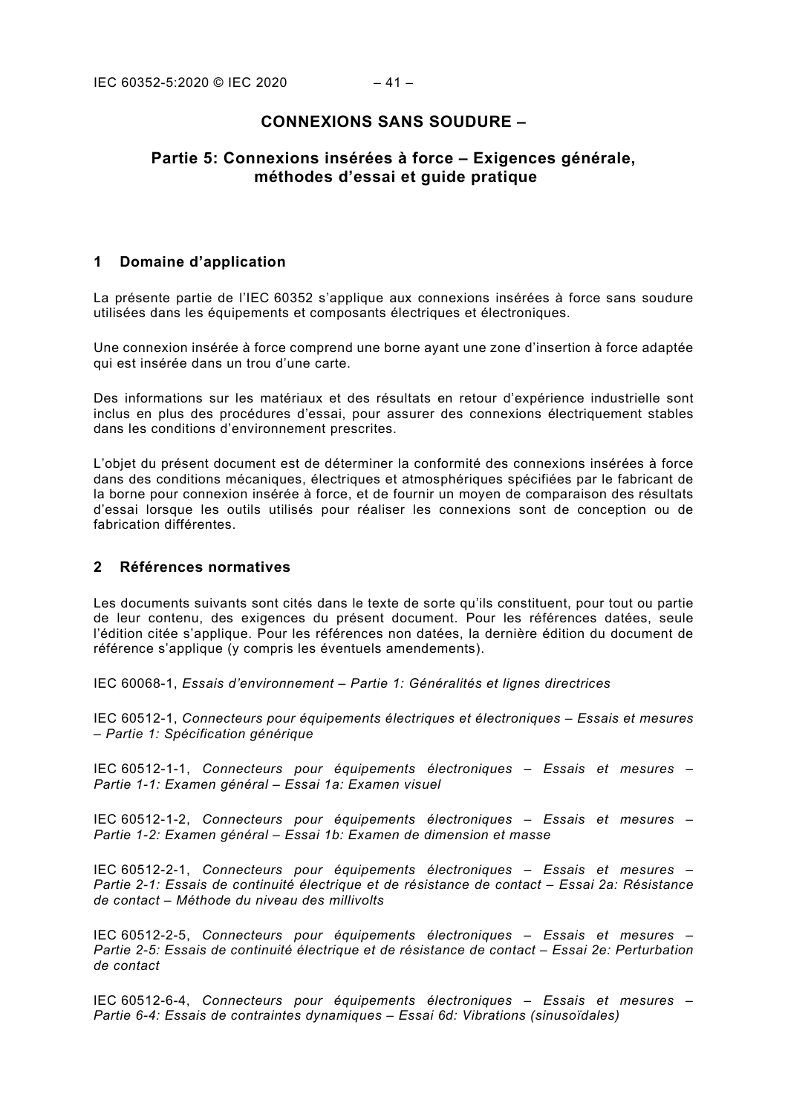## **CONNEXIONS SANS SOUDURE –**

# **Partie 5: Connexions insérées à force – Exigences générale, méthodes d'essai et guide pratique**

## <span id="page-13-0"></span>**1 Domaine d'application**

La présente partie de l'IEC 60352 s'applique aux connexions insérées à force sans soudure utilisées dans les équipements et composants électriques et électroniques.

Une connexion insérée à force comprend une borne ayant une zone d'insertion à force adaptée qui est insérée dans un trou d'une carte.

Des informations sur les matériaux et des résultats en retour d'expérience industrielle sont inclus en plus des procédures d'essai, pour assurer des connexions électriquement stables dans les conditions d'environnement prescrites.

L'objet du présent document est de déterminer la conformité des connexions insérées à force dans des conditions mécaniques, électriques et atmosphériques spécifiées par le fabricant de la borne pour connexion insérée à force, et de fournir un moyen de comparaison des résultats d'essai lorsque les outils utilisés pour réaliser les connexions sont de conception ou de fabrication différentes.

### <span id="page-13-1"></span>**2 Références normatives**

Les documents suivants sont cités dans le texte de sorte qu'ils constituent, pour tout ou partie de leur contenu, des exigences du présent document. Pour les références datées, seule l'édition citée s'applique. Pour les références non datées, la dernière édition du document de référence s'applique (y compris les éventuels amendements).

IEC 60068-1, *Essais d'environnement – Partie 1: Généralités et lignes directrices*

IEC 60512-1, *Connecteurs pour équipements électriques et électroniques – Essais et mesures – Partie 1: Spécification générique*

[IEC 60512-1-1,](https://webstore.iec.ch/publication/2297) *Connecteurs pour équipements électroniques – Essais et mesures – Partie 1-1: Examen général – Essai 1a: Examen visuel*

[IEC 60512-1-2,](https://webstore.iec.ch/publication/2299) *Connecteurs pour équipements électroniques – Essais et mesures – Partie 1-2: Examen général – Essai 1b: Examen de dimension et masse*

[IEC 60512-2-1,](https://webstore.iec.ch/publication/2365) *Connecteurs pour équipements électroniques – Essais et mesures – Partie 2-1: Essais de continuité électrique et de résistance de contact – Essai 2a: Résistance de contact – Méthode du niveau des millivolts*

[IEC 60512-2-5,](https://webstore.iec.ch/publication/2368) *Connecteurs pour équipements électroniques – Essais et mesures – Partie 2-5: Essais de continuité électrique et de résistance de contact – Essai 2e: Perturbation de contact*

[IEC 60512-6-4,](https://webstore.iec.ch/publication/2403) *Connecteurs pour équipements électroniques – Essais et mesures – Partie 6-4: Essais de contraintes dynamiques – Essai 6d: Vibrations (sinusoïdales)*